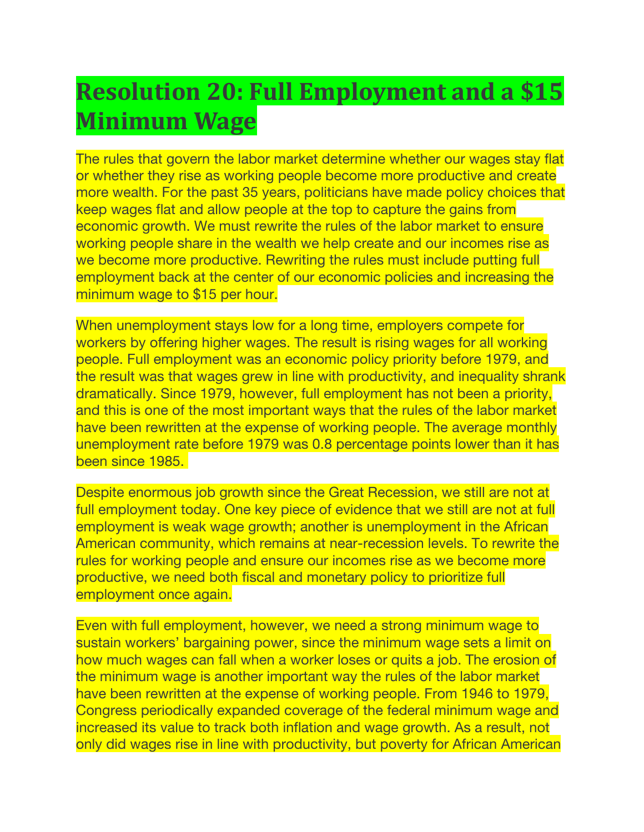## **Resolution 20: Full Employment and a \$15 Minimum Wage**

The rules that govern the labor market determine whether our wages stay flat or whether they rise as working people become more productive and create more wealth. For the past 35 years, politicians have made policy choices that keep wages flat and allow people at the top to capture the gains from economic growth. We must rewrite the rules of the labor market to ensure working people share in the wealth we help create and our incomes rise as we become more productive. Rewriting the rules must include putting full employment back at the center of our economic policies and increasing the minimum wage to \$15 per hour.

When unemployment stays low for a long time, employers compete for workers by offering higher wages. The result is rising wages for all working people. Full employment was an economic policy priority before 1979, and the result was that wages grew in line with productivity, and inequality shrank dramatically. Since 1979, however, full employment has not been a priority, and this is one of the most important ways that the rules of the labor market have been rewritten at the expense of working people. The average monthly unemployment rate before 1979 was 0.8 percentage points lower than it has been since 1985.

Despite enormous job growth since the Great Recession, we still are not at full employment today. One key piece of evidence that we still are not at full employment is weak wage growth; another is unemployment in the African American community, which remains at near-recession levels. To rewrite the rules for working people and ensure our incomes rise as we become more productive, we need both fiscal and monetary policy to prioritize full employment once again.

Even with full employment, however, we need a strong minimum wage to sustain workers' bargaining power, since the minimum wage sets a limit on how much wages can fall when a worker loses or quits a job. The erosion of the minimum wage is another important way the rules of the labor market have been rewritten at the expense of working people. From 1946 to 1979, Congress periodically expanded coverage of the federal minimum wage and increased its value to track both inflation and wage growth. As a result, not only did wages rise in line with productivity, but poverty for African American